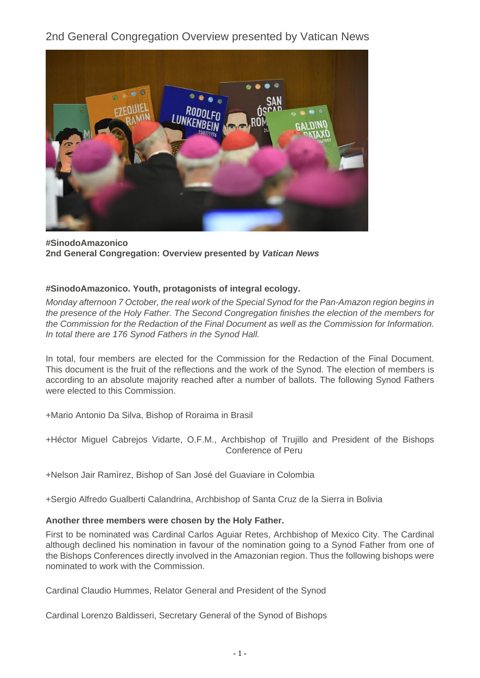2nd General Congregation Overview presented by Vatican News



**#SinodoAmazonico 2nd General Congregation: Overview presented by Vatican News**

## **#SinodoAmazonico. Youth, protagonists of integral ecology.**

Monday afternoon 7 October, the real work of the Special Synod for the Pan-Amazon region begins in the presence of the Holy Father. The Second Congregation finishes the election of the members for the Commission for the Redaction of the Final Document as well as the Commission for Information. In total there are 176 Synod Fathers in the Synod Hall.

In total, four members are elected for the Commission for the Redaction of the Final Document. This document is the fruit of the reflections and the work of the Synod. The election of members is according to an absolute majority reached after a number of ballots. The following Synod Fathers were elected to this Commission.

+Mario Antonio Da Silva, Bishop of Roraima in Brasil

+Héctor Miguel Cabrejos Vidarte, O.F.M., Archbishop of Trujillo and President of the Bishops Conference of Peru

+Nelson Jair Ramìrez, Bishop of San José del Guaviare in Colombia

+Sergio Alfredo Gualberti Calandrina, Archbishop of Santa Cruz de la Sierra in Bolivia

# **Another three members were chosen by the Holy Father.**

First to be nominated was Cardinal Carlos Aguiar Retes, Archbishop of Mexico City. The Cardinal although declined his nomination in favour of the nomination going to a Synod Father from one of the Bishops Conferences directly involved in the Amazonian region. Thus the following bishops were nominated to work with the Commission.

Cardinal Claudio Hummes, Relator General and President of the Synod

Cardinal Lorenzo Baldisseri, Secretary General of the Synod of Bishops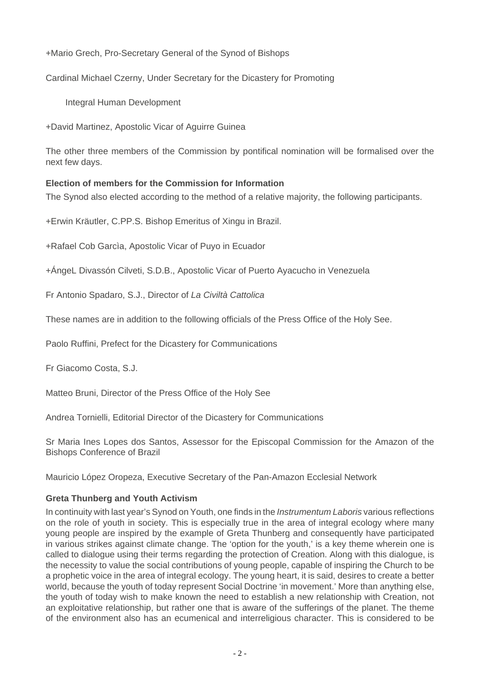+Mario Grech, Pro-Secretary General of the Synod of Bishops

Cardinal Michael Czerny, Under Secretary for the Dicastery for Promoting

Integral Human Development

+David Martinez, Apostolic Vicar of Aguirre Guinea

The other three members of the Commission by pontifical nomination will be formalised over the next few days.

## **Election of members for the Commission for Information**

The Synod also elected according to the method of a relative majority, the following participants.

+Erwin Kräutler, C.PP.S. Bishop Emeritus of Xingu in Brazil.

+Rafael Cob Garcìa, Apostolic Vicar of Puyo in Ecuador

+ÁngeL Divassón Cilveti, S.D.B., Apostolic Vicar of Puerto Ayacucho in Venezuela

Fr Antonio Spadaro, S.J., Director of La Civiltà Cattolica

These names are in addition to the following officials of the Press Office of the Holy See.

Paolo Ruffini, Prefect for the Dicastery for Communications

Fr Giacomo Costa, S.J.

Matteo Bruni, Director of the Press Office of the Holy See

Andrea Tornielli, Editorial Director of the Dicastery for Communications

Sr Maria Ines Lopes dos Santos, Assessor for the Episcopal Commission for the Amazon of the Bishops Conference of Brazil

Mauricio López Oropeza, Executive Secretary of the Pan-Amazon Ecclesial Network

# **Greta Thunberg and Youth Activism**

In continuity with last year's Synod on Youth, one finds in the *Instrumentum Laboris* various reflections on the role of youth in society. This is especially true in the area of integral ecology where many young people are inspired by the example of Greta Thunberg and consequently have participated in various strikes against climate change. The 'option for the youth,' is a key theme wherein one is called to dialogue using their terms regarding the protection of Creation. Along with this dialogue, is the necessity to value the social contributions of young people, capable of inspiring the Church to be a prophetic voice in the area of integral ecology. The young heart, it is said, desires to create a better world, because the youth of today represent Social Doctrine 'in movement.' More than anything else, the youth of today wish to make known the need to establish a new relationship with Creation, not an exploitative relationship, but rather one that is aware of the sufferings of the planet. The theme of the environment also has an ecumenical and interreligious character. This is considered to be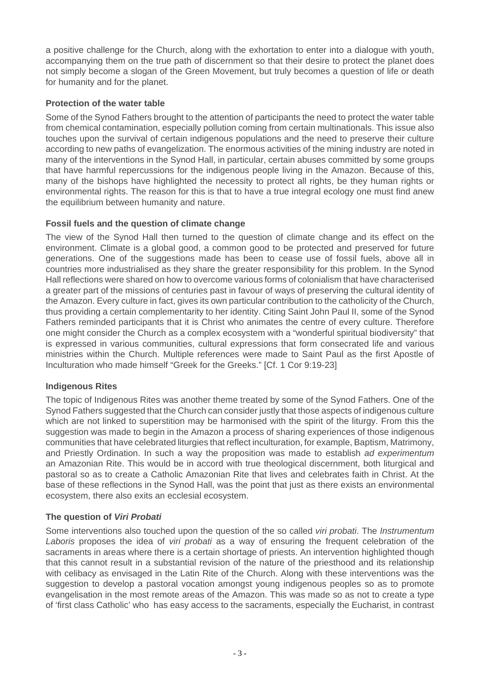a positive challenge for the Church, along with the exhortation to enter into a dialogue with youth, accompanying them on the true path of discernment so that their desire to protect the planet does not simply become a slogan of the Green Movement, but truly becomes a question of life or death for humanity and for the planet.

## **Protection of the water table**

Some of the Synod Fathers brought to the attention of participants the need to protect the water table from chemical contamination, especially pollution coming from certain multinationals. This issue also touches upon the survival of certain indigenous populations and the need to preserve their culture according to new paths of evangelization. The enormous activities of the mining industry are noted in many of the interventions in the Synod Hall, in particular, certain abuses committed by some groups that have harmful repercussions for the indigenous people living in the Amazon. Because of this, many of the bishops have highlighted the necessity to protect all rights, be they human rights or environmental rights. The reason for this is that to have a true integral ecology one must find anew the equilibrium between humanity and nature.

# **Fossil fuels and the question of climate change**

The view of the Synod Hall then turned to the question of climate change and its effect on the environment. Climate is a global good, a common good to be protected and preserved for future generations. One of the suggestions made has been to cease use of fossil fuels, above all in countries more industrialised as they share the greater responsibility for this problem. In the Synod Hall reflections were shared on how to overcome various forms of colonialism that have characterised a greater part of the missions of centuries past in favour of ways of preserving the cultural identity of the Amazon. Every culture in fact, gives its own particular contribution to the catholicity of the Church, thus providing a certain complementarity to her identity. Citing Saint John Paul II, some of the Synod Fathers reminded participants that it is Christ who animates the centre of every culture. Therefore one might consider the Church as a complex ecosystem with a "wonderful spiritual biodiversity" that is expressed in various communities, cultural expressions that form consecrated life and various ministries within the Church. Multiple references were made to Saint Paul as the first Apostle of Inculturation who made himself "Greek for the Greeks." [Cf. 1 Cor 9:19-23]

# **Indigenous Rites**

The topic of Indigenous Rites was another theme treated by some of the Synod Fathers. One of the Synod Fathers suggested that the Church can consider justly that those aspects of indigenous culture which are not linked to superstition may be harmonised with the spirit of the liturgy. From this the suggestion was made to begin in the Amazon a process of sharing experiences of those indigenous communities that have celebrated liturgies that reflect inculturation, for example, Baptism, Matrimony, and Priestly Ordination. In such a way the proposition was made to establish ad experimentum an Amazonian Rite. This would be in accord with true theological discernment, both liturgical and pastoral so as to create a Catholic Amazonian Rite that lives and celebrates faith in Christ. At the base of these reflections in the Synod Hall, was the point that just as there exists an environmental ecosystem, there also exits an ecclesial ecosystem.

# **The question of Viri Probati**

Some interventions also touched upon the question of the so called *viri probati*. The *Instrumentum* Laboris proposes the idea of viri probati as a way of ensuring the frequent celebration of the sacraments in areas where there is a certain shortage of priests. An intervention highlighted though that this cannot result in a substantial revision of the nature of the priesthood and its relationship with celibacy as envisaged in the Latin Rite of the Church. Along with these interventions was the suggestion to develop a pastoral vocation amongst young indigenous peoples so as to promote evangelisation in the most remote areas of the Amazon. This was made so as not to create a type of 'first class Catholic' who has easy access to the sacraments, especially the Eucharist, in contrast